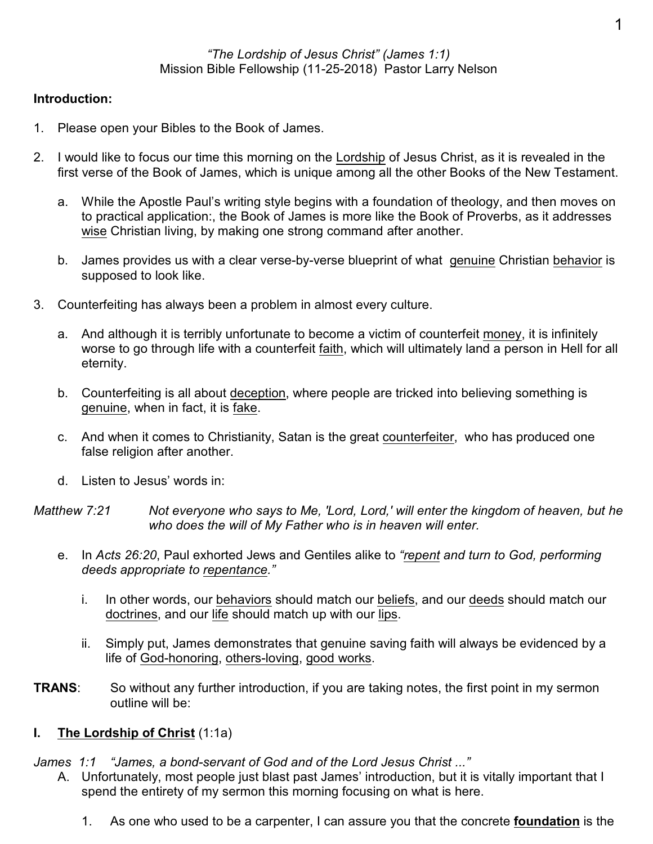## **Introduction:**

- 1. Please open your Bibles to the Book of James.
- 2. I would like to focus our time this morning on the Lordship of Jesus Christ, as it is revealed in the first verse of the Book of James, which is unique among all the other Books of the New Testament.
	- a. While the Apostle Paul's writing style begins with a foundation of theology, and then moves on to practical application:, the Book of James is more like the Book of Proverbs, as it addresses wise Christian living, by making one strong command after another.
	- b. James provides us with a clear verse-by-verse blueprint of what genuine Christian behavior is supposed to look like.
- 3. Counterfeiting has always been a problem in almost every culture.
	- a. And although it is terribly unfortunate to become a victim of counterfeit money, it is infinitely worse to go through life with a counterfeit faith, which will ultimately land a person in Hell for all eternity.
	- b. Counterfeiting is all about deception, where people are tricked into believing something is genuine, when in fact, it is fake.
	- c. And when it comes to Christianity, Satan is the great counterfeiter, who has produced one false religion after another.
	- d. Listen to Jesus' words in:
- *Matthew 7:21 Not everyone who says to Me, 'Lord, Lord,' will enter the kingdom of heaven, but he who does the will of My Father who is in heaven will enter.*
	- e. In *Acts 26:20*, Paul exhorted Jews and Gentiles alike to *"repent and turn to God, performing deeds appropriate to repentance."*
		- i. In other words, our behaviors should match our beliefs, and our deeds should match our doctrines, and our life should match up with our lips.
		- ii. Simply put, James demonstrates that genuine saving faith will always be evidenced by a life of God-honoring, others-loving, good works.
- **TRANS:** So without any further introduction, if you are taking notes, the first point in my sermon outline will be:

### **I. The Lordship of Christ** (1:1a)

*James 1:1 "James, a bond-servant of God and of the Lord Jesus Christ ..."* 

- A. Unfortunately, most people just blast past James' introduction, but it is vitally important that I spend the entirety of my sermon this morning focusing on what is here.
	- 1. As one who used to be a carpenter, I can assure you that the concrete **foundation** is the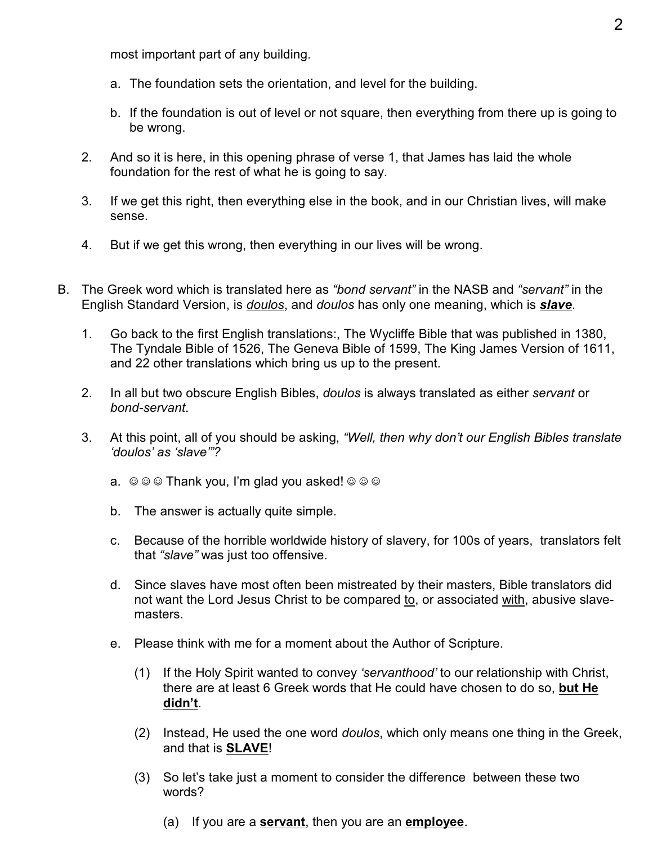most important part of any building.

- a. The foundation sets the orientation, and level for the building.
- b. If the foundation is out of level or not square, then everything from there up is going to be wrong.
- 2. And so it is here, in this opening phrase of verse 1, that James has laid the whole foundation for the rest of what he is going to say.
- 3. If we get this right, then everything else in the book, and in our Christian lives, will make sense.
- 4. But if we get this wrong, then everything in our lives will be wrong.
- B. The Greek word which is translated here as *"bond servant"* in the NASB and *"servant"* in the English Standard Version, is *doulos*, and *doulos* has only one meaning, which is *slave*.
	- 1. Go back to the first English translations:, The Wycliffe Bible that was published in 1380, The Tyndale Bible of 1526, The Geneva Bible of 1599, The King James Version of 1611, and 22 other translations which bring us up to the present.
	- 2. In all but two obscure English Bibles, *doulos* is always translated as either *servant* or *bond-servant*.
	- 3. At this point, all of you should be asking, *"Well, then why don't our English Bibles translate 'doulos' as 'slave'"?*
		- a.  $\circledcirc \circledcirc$  Thank you, I'm glad you asked!  $\circledcirc \circledcirc$
		- b. The answer is actually quite simple.
		- c. Because of the horrible worldwide history of slavery, for 100s of years, translators felt that *"slave"* was just too offensive.
		- d. Since slaves have most often been mistreated by their masters, Bible translators did not want the Lord Jesus Christ to be compared to, or associated with, abusive slavemasters.
		- e. Please think with me for a moment about the Author of Scripture.
			- (1) If the Holy Spirit wanted to convey *'servanthood'* to our relationship with Christ, there are at least 6 Greek words that He could have chosen to do so, **but He didn't**.
			- (2) Instead, He used the one word *doulos*, which only means one thing in the Greek, and that is **SLAVE**!
			- (3) So let's take just a moment to consider the difference between these two words?
				- (a) If you are a **servant**, then you are an **employee**.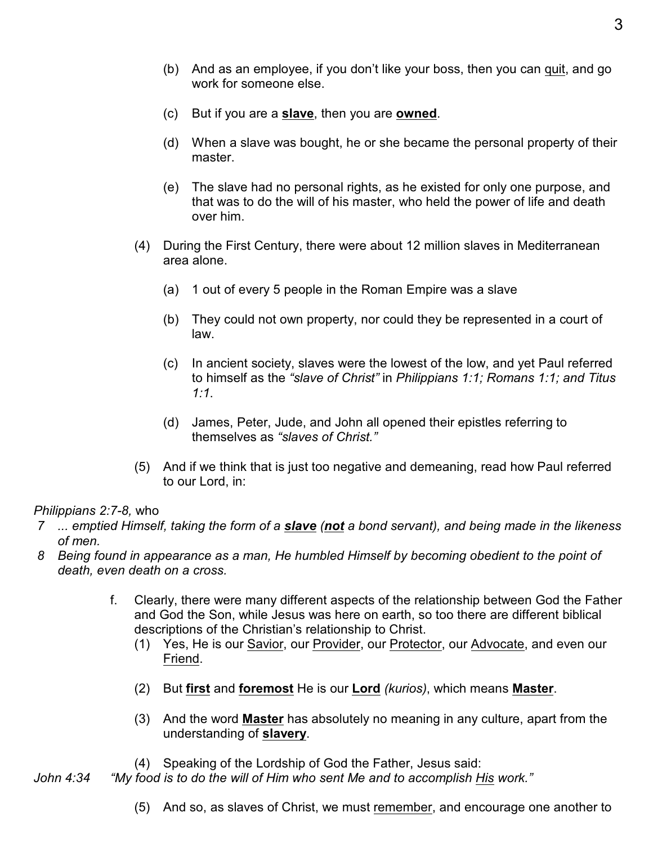- (b) And as an employee, if you don't like your boss, then you can quit, and go work for someone else.
- (c) But if you are a **slave**, then you are **owned**.
- (d) When a slave was bought, he or she became the personal property of their master.
- (e) The slave had no personal rights, as he existed for only one purpose, and that was to do the will of his master, who held the power of life and death over him.
- (4) During the First Century, there were about 12 million slaves in Mediterranean area alone.
	- (a) 1 out of every 5 people in the Roman Empire was a slave
	- (b) They could not own property, nor could they be represented in a court of law.
	- (c) In ancient society, slaves were the lowest of the low, and yet Paul referred to himself as the *"slave of Christ"* in *Philippians 1:1; Romans 1:1; and Titus 1:1*.
	- (d) James, Peter, Jude, and John all opened their epistles referring to themselves as *"slaves of Christ."*
- (5) And if we think that is just too negative and demeaning, read how Paul referred to our Lord, in:

### *Philippians 2:7-8,* who

- *7 ... emptied Himself, taking the form of a slave (not a bond servant), and being made in the likeness of men.*
- *8 Being found in appearance as a man, He humbled Himself by becoming obedient to the point of death, even death on a cross.*
	- f. Clearly, there were many different aspects of the relationship between God the Father and God the Son, while Jesus was here on earth, so too there are different biblical descriptions of the Christian's relationship to Christ.
		- (1) Yes, He is our Savior, our Provider, our Protector, our Advocate, and even our Friend.
		- (2) But **first** and **foremost** He is our **Lord** *(kurios)*, which means **Master**.
		- (3) And the word **Master** has absolutely no meaning in any culture, apart from the understanding of **slavery**.
		- (4) Speaking of the Lordship of God the Father, Jesus said:
- *John 4:34 "My food is to do the will of Him who sent Me and to accomplish His work."*
	- (5) And so, as slaves of Christ, we must remember, and encourage one another to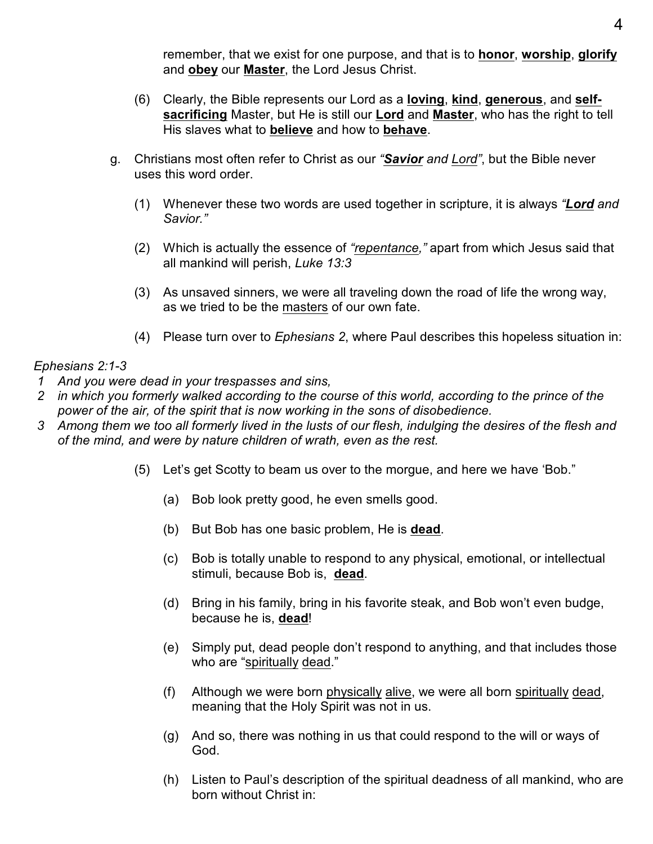remember, that we exist for one purpose, and that is to **honor**, **worship**, **glorify** and **obey** our **Master**, the Lord Jesus Christ.

- (6) Clearly, the Bible represents our Lord as a **loving**, **kind**, **generous**, and **selfsacrificing** Master, but He is still our **Lord** and **Master**, who has the right to tell His slaves what to **believe** and how to **behave**.
- g. Christians most often refer to Christ as our *"Savior and Lord"*, but the Bible never uses this word order.
	- (1) Whenever these two words are used together in scripture, it is always *"Lord and Savior."*
	- (2) Which is actually the essence of *"repentance,"* apart from which Jesus said that all mankind will perish, *Luke 13:3*
	- (3) As unsaved sinners, we were all traveling down the road of life the wrong way, as we tried to be the masters of our own fate.
	- (4) Please turn over to *Ephesians 2*, where Paul describes this hopeless situation in:

# *Ephesians 2:1-3*

- *1 And you were dead in your trespasses and sins,*
- *2 in which you formerly walked according to the course of this world, according to the prince of the power of the air, of the spirit that is now working in the sons of disobedience.*
- *3 Among them we too all formerly lived in the lusts of our flesh, indulging the desires of the flesh and of the mind, and were by nature children of wrath, even as the rest.*
	- (5) Let's get Scotty to beam us over to the morgue, and here we have 'Bob."
		- (a) Bob look pretty good, he even smells good.
		- (b) But Bob has one basic problem, He is **dead**.
		- (c) Bob is totally unable to respond to any physical, emotional, or intellectual stimuli, because Bob is, **dead**.
		- (d) Bring in his family, bring in his favorite steak, and Bob won't even budge, because he is, **dead**!
		- (e) Simply put, dead people don't respond to anything, and that includes those who are "spiritually dead."
		- (f) Although we were born physically alive, we were all born spiritually dead, meaning that the Holy Spirit was not in us.
		- (g) And so, there was nothing in us that could respond to the will or ways of God.
		- (h) Listen to Paul's description of the spiritual deadness of all mankind, who are born without Christ in: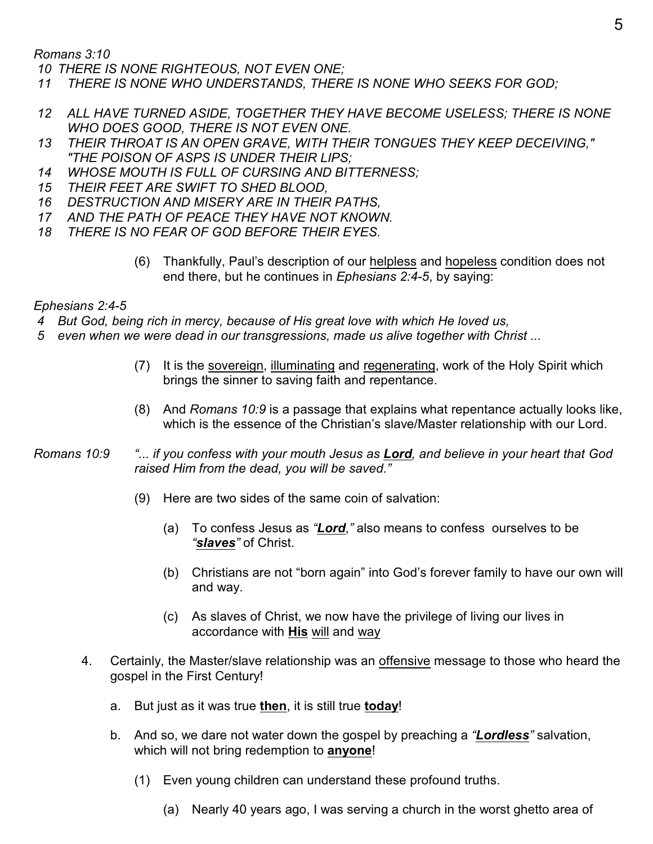*Romans 3:10* 

 *10 THERE IS NONE RIGHTEOUS, NOT EVEN ONE;*

- *11 THERE IS NONE WHO UNDERSTANDS, THERE IS NONE WHO SEEKS FOR GOD;*
- *12 ALL HAVE TURNED ASIDE, TOGETHER THEY HAVE BECOME USELESS; THERE IS NONE WHO DOES GOOD, THERE IS NOT EVEN ONE.*
- *13 THEIR THROAT IS AN OPEN GRAVE, WITH THEIR TONGUES THEY KEEP DECEIVING," "THE POISON OF ASPS IS UNDER THEIR LIPS;*
- *14 WHOSE MOUTH IS FULL OF CURSING AND BITTERNESS;*
- *15 THEIR FEET ARE SWIFT TO SHED BLOOD,*
- *16 DESTRUCTION AND MISERY ARE IN THEIR PATHS,*
- *17 AND THE PATH OF PEACE THEY HAVE NOT KNOWN.*
- *18 THERE IS NO FEAR OF GOD BEFORE THEIR EYES.*
	- (6) Thankfully, Paul's description of our helpless and hopeless condition does not end there, but he continues in *Ephesians 2:4-5*, by saying:

*Ephesians 2:4-5*

- *4 But God, being rich in mercy, because of His great love with which He loved us,*
- *5 even when we were dead in our transgressions, made us alive together with Christ ...*
	- (7) It is the sovereign, illuminating and regenerating, work of the Holy Spirit which brings the sinner to saving faith and repentance.
	- (8) And *Romans 10:9* is a passage that explains what repentance actually looks like, which is the essence of the Christian's slave/Master relationship with our Lord.
- *Romans 10:9 "... if you confess with your mouth Jesus as Lord, and believe in your heart that God raised Him from the dead, you will be saved."*
	- (9) Here are two sides of the same coin of salvation:
		- (a) To confess Jesus as *"Lord*,*"* also means to confess ourselves to be *"slaves"* of Christ.
		- (b) Christians are not "born again" into God's forever family to have our own will and way.
		- (c) As slaves of Christ, we now have the privilege of living our lives in accordance with **His** will and way
	- 4. Certainly, the Master/slave relationship was an offensive message to those who heard the gospel in the First Century!
		- a. But just as it was true **then**, it is still true **today**!
		- b. And so, we dare not water down the gospel by preaching a *"Lordless"* salvation, which will not bring redemption to **anyone**!
			- (1) Even young children can understand these profound truths.
				- (a) Nearly 40 years ago, I was serving a church in the worst ghetto area of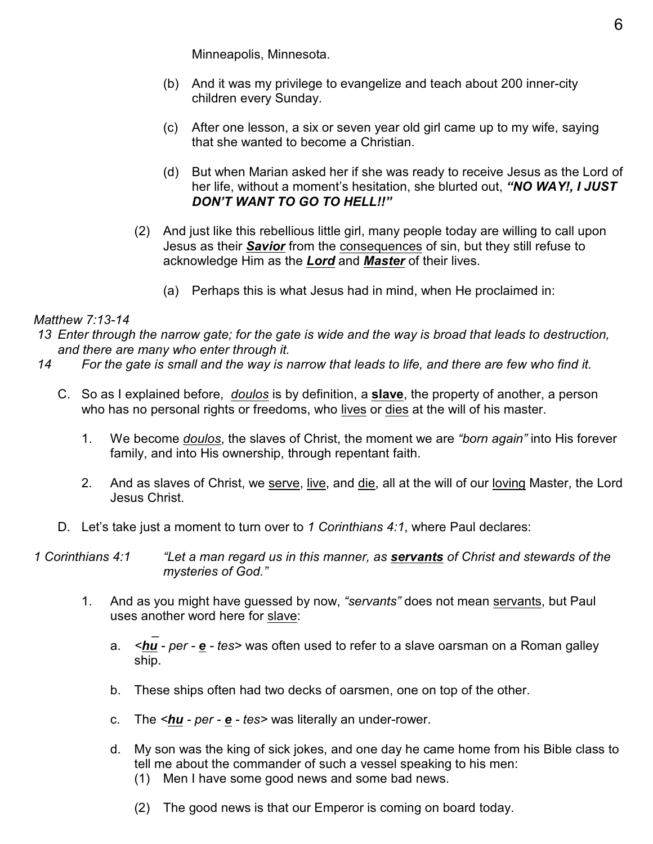Minneapolis, Minnesota.

- (b) And it was my privilege to evangelize and teach about 200 inner-city children every Sunday.
- (c) After one lesson, a six or seven year old girl came up to my wife, saying that she wanted to become a Christian.
- (d) But when Marian asked her if she was ready to receive Jesus as the Lord of her life, without a moment's hesitation, she blurted out, *"NO WAY!, I JUST DON'T WANT TO GO TO HELL!!"*
- (2) And just like this rebellious little girl, many people today are willing to call upon Jesus as their *Savior* from the consequences of sin, but they still refuse to acknowledge Him as the *Lord* and *Master* of their lives.
	- (a) Perhaps this is what Jesus had in mind, when He proclaimed in:

# *Matthew 7:13-14*

- *13 Enter through the narrow gate; for the gate is wide and the way is broad that leads to destruction, and there are many who enter through it.*
- *14 For the gate is small and the way is narrow that leads to life, and there are few who find it.*
	- C. So as I explained before, *doulos* is by definition, a **slave**, the property of another, a person who has no personal rights or freedoms, who lives or dies at the will of his master.
		- 1. We become *doulos*, the slaves of Christ, the moment we are *"born again"* into His forever family, and into His ownership, through repentant faith.
		- 2. And as slaves of Christ, we serve, live, and die, all at the will of our loving Master, the Lord Jesus Christ.
	- D. Let's take just a moment to turn over to *1 Corinthians 4:1*, where Paul declares:
- *1 Corinthians 4:1 "Let a man regard us in this manner, as servants of Christ and stewards of the mysteries of God."*
	- 1. And as you might have guessed by now, *"servants"* does not mean servants, but Paul uses another word here for slave:
- \_ a. *<hu - per - e - tes>* was often used to refer to a slave oarsman on a Roman galley ship.
	- b. These ships often had two decks of oarsmen, one on top of the other.
	- c. The *<hu per e tes>* was literally an under-rower.
	- d. My son was the king of sick jokes, and one day he came home from his Bible class to tell me about the commander of such a vessel speaking to his men:
		- (1) Men I have some good news and some bad news.
		- (2) The good news is that our Emperor is coming on board today.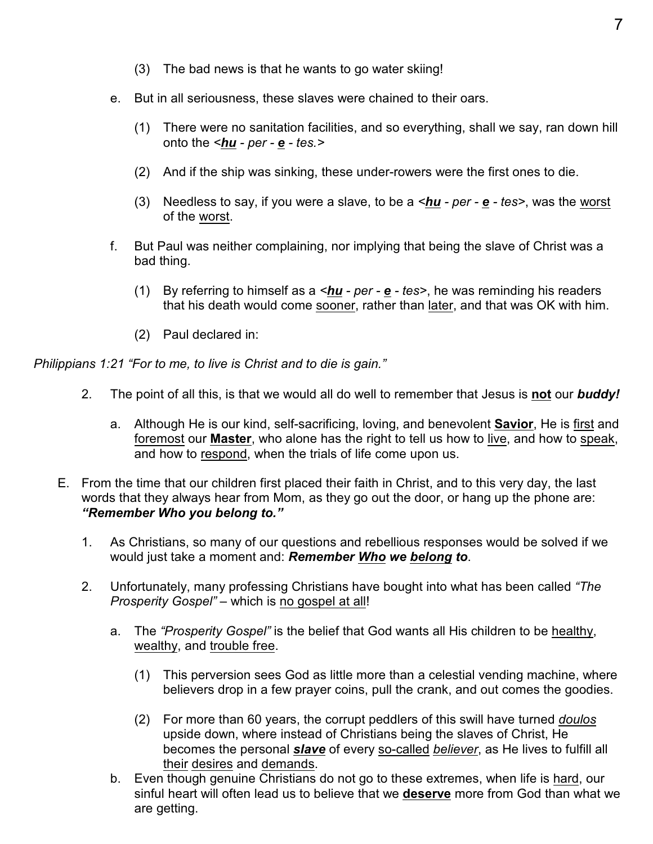- (3) The bad news is that he wants to go water skiing!
- e. But in all seriousness, these slaves were chained to their oars.
	- (1) There were no sanitation facilities, and so everything, shall we say, ran down hill onto the *<hu - per - e - tes.>*
	- (2) And if the ship was sinking, these under-rowers were the first ones to die.
	- (3) Needless to say, if you were a slave, to be a *<hu per e tes>*, was the worst of the worst.
- f. But Paul was neither complaining, nor implying that being the slave of Christ was a bad thing.
	- (1) By referring to himself as a *<hu per e tes>*, he was reminding his readers that his death would come sooner, rather than later, and that was OK with him.
	- (2) Paul declared in:

*Philippians 1:21 "For to me, to live is Christ and to die is gain."*

- 2. The point of all this, is that we would all do well to remember that Jesus is **not** our *buddy!*
	- a. Although He is our kind, self-sacrificing, loving, and benevolent **Savior**, He is first and foremost our **Master**, who alone has the right to tell us how to live, and how to speak, and how to respond, when the trials of life come upon us.
- E. From the time that our children first placed their faith in Christ, and to this very day, the last words that they always hear from Mom, as they go out the door, or hang up the phone are: *"Remember Who you belong to."*
	- 1. As Christians, so many of our questions and rebellious responses would be solved if we would just take a moment and: *Remember Who we belong to*.
	- 2. Unfortunately, many professing Christians have bought into what has been called *"The Prosperity Gospel"* – which is no gospel at all!
		- a. The *"Prosperity Gospel"* is the belief that God wants all His children to be healthy, wealthy, and trouble free.
			- (1) This perversion sees God as little more than a celestial vending machine, where believers drop in a few prayer coins, pull the crank, and out comes the goodies.
			- (2) For more than 60 years, the corrupt peddlers of this swill have turned *doulos* upside down, where instead of Christians being the slaves of Christ, He becomes the personal *slave* of every so-called *believer*, as He lives to fulfill all their desires and demands.
		- b. Even though genuine Christians do not go to these extremes, when life is hard, our sinful heart will often lead us to believe that we **deserve** more from God than what we are getting.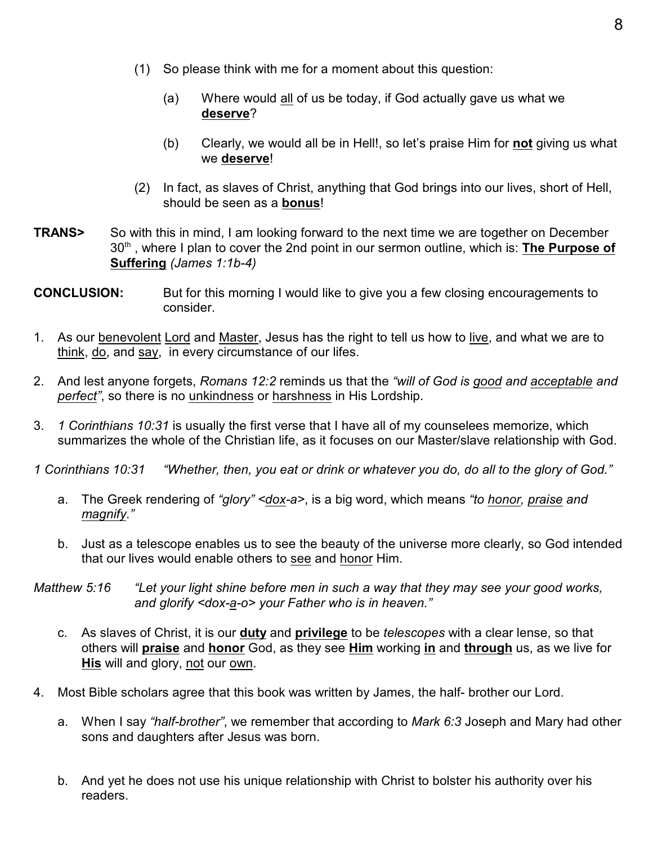- (1) So please think with me for a moment about this question:
	- (a) Where would all of us be today, if God actually gave us what we **deserve**?
	- (b) Clearly, we would all be in Hell!, so let's praise Him for **not** giving us what we **deserve**!
- (2) In fact, as slaves of Christ, anything that God brings into our lives, short of Hell, should be seen as a **bonus**!
- **TRANS>** So with this in mind, I am looking forward to the next time we are together on December 30<sup>th</sup>, where I plan to cover the 2nd point in our sermon outline, which is: The Purpose of **Suffering** *(James 1:1b-4)*
- **CONCLUSION:** But for this morning I would like to give you a few closing encouragements to consider.
- 1. As our benevolent Lord and Master, Jesus has the right to tell us how to live, and what we are to think, do, and say, in every circumstance of our lifes.
- 2. And lest anyone forgets, *Romans 12:2* reminds us that the *"will of God is good and acceptable and perfect"*, so there is no unkindness or harshness in His Lordship.
- 3. *1 Corinthians 10:31* is usually the first verse that I have all of my counselees memorize, which summarizes the whole of the Christian life, as it focuses on our Master/slave relationship with God.

*1 Corinthians 10:31 "Whether, then, you eat or drink or whatever you do, do all to the glory of God."*

- a. The Greek rendering of *"glory" <dox-a>*, is a big word, which means *"to honor, praise and magnify."*
- b. Just as a telescope enables us to see the beauty of the universe more clearly, so God intended that our lives would enable others to see and honor Him.

*Matthew 5:16 "Let your light shine before men in such a way that they may see your good works, and glorify <dox-a-o> your Father who is in heaven."*

- c. As slaves of Christ, it is our **duty** and **privilege** to be *telescopes* with a clear lense, so that others will **praise** and **honor** God, as they see **Him** working **in** and **through** us, as we live for **His** will and glory, not our own.
- 4. Most Bible scholars agree that this book was written by James, the half- brother our Lord.
	- a. When I say *"half-brother"*, we remember that according to *Mark 6:3* Joseph and Mary had other sons and daughters after Jesus was born.
	- b. And yet he does not use his unique relationship with Christ to bolster his authority over his readers.